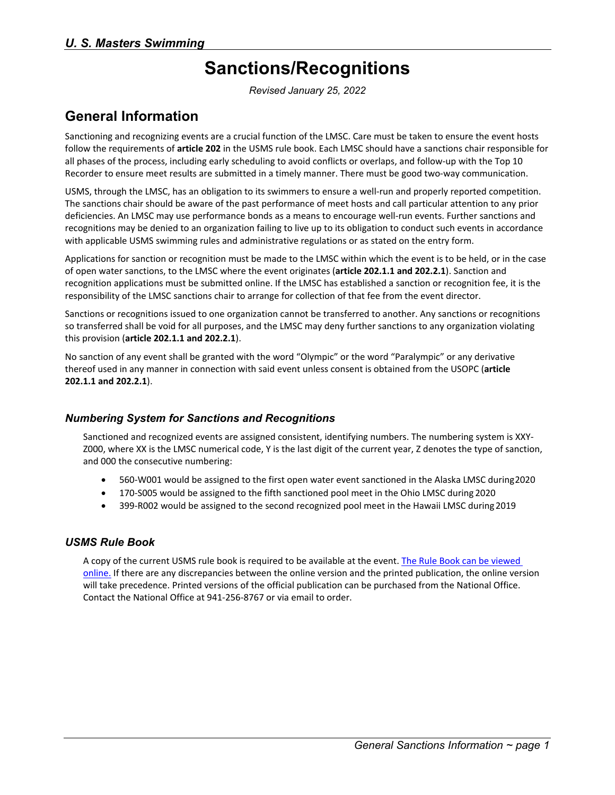# **Sanctions/Recognitions**

*Revised January 25, 2022*

## **General Information**

Sanctioning and recognizing events are a crucial function of the LMSC. Care must be taken to ensure the event hosts follow the requirements of **article 202** in the USMS rule book. Each LMSC should have a sanctions chair responsible for all phases of the process, including early scheduling to avoid conflicts or overlaps, and follow-up with the Top 10 Recorder to ensure meet results are submitted in a timely manner. There must be good two-way communication.

USMS, through the LMSC, has an obligation to its swimmers to ensure a well-run and properly reported competition. The sanctions chair should be aware of the past performance of meet hosts and call particular attention to any prior deficiencies. An LMSC may use performance bonds as a means to encourage well-run events. Further sanctions and recognitions may be denied to an organization failing to live up to its obligation to conduct such events in accordance with applicable USMS swimming rules and administrative regulations or as stated on the entry form.

Applications for sanction or recognition must be made to the LMSC within which the event is to be held, or in the case of open water sanctions, to the LMSC where the event originates (**article 202.1.1 and 202.2.1**). Sanction and recognition applications must be submitted online. If the LMSC has established a sanction or recognition fee, it is the responsibility of the LMSC sanctions chair to arrange for collection of that fee from the event director.

Sanctions or recognitions issued to one organization cannot be transferred to another. Any sanctions or recognitions so transferred shall be void for all purposes, and the LMSC may deny further sanctions to any organization violating this provision (**article 202.1.1 and 202.2.1**).

No sanction of any event shall be granted with the word "Olympic" or the word "Paralympic" or any derivative thereof used in any manner in connection with said event unless consent is obtained from the USOPC (**article 202.1.1 and 202.2.1**).

#### *Numbering System for Sanctions and Recognitions*

Sanctioned and recognized events are assigned consistent, identifying numbers. The numbering system is XXY-Z000, where XX is the LMSC numerical code, Y is the last digit of the current year, Z denotes the type of sanction, and 000 the consecutive numbering:

- 560-W001 would be assigned to the first open water event sanctioned in the Alaska LMSC during2020
- 170-S005 would be assigned to the fifth sanctioned pool meet in the Ohio LMSC during 2020
- 399-R002 would be assigned to the second recognized pool meet in the Hawaii LMSC during2019

#### *USMS Rule Book*

A copy of the current USMS rule book is required to be available at the event. [The Rule Book can be viewed](https://www.usms.org/volunteer-central/us-masters-swimming-rule-book)  [online.](https://www.usms.org/volunteer-central/us-masters-swimming-rule-book) If there are any discrepancies between the online version and the printed publication, the online version will take precedence. Printed versions of the official publication can be purchased from the National Office. Contact the National Office at 941-256-8767 or via [email](mailto:volunteer@usmastersswimming.org?subject=USMS%20Rule%20Book%20Order) to order.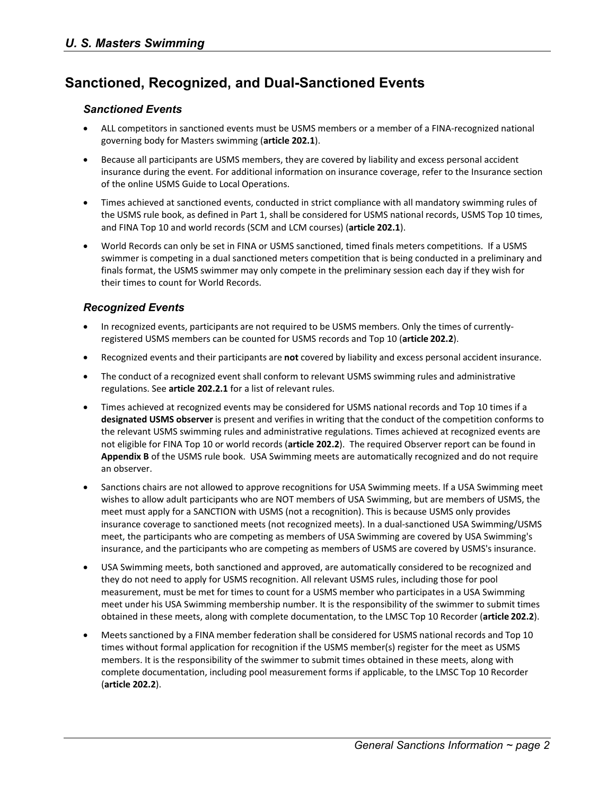## **Sanctioned, Recognized, and Dual-Sanctioned Events**

#### *Sanctioned Events*

- ALL competitors in sanctioned events must be USMS members or a member of a FINA-recognized national governing body for Masters swimming (**article 202.1**).
- Because all participants are USMS members, they are covered by liability and excess personal accident insurance during the event. For additional information on insurance coverage, refer to the Insurance section of the online USMS Guide to Local Operations.
- Times achieved at sanctioned events, conducted in strict compliance with all mandatory swimming rules of the USMS rule book, as defined in Part 1, shall be considered for USMS national records, USMS Top 10 times, and FINA Top 10 and world records (SCM and LCM courses) (**article 202.1**).
- World Records can only be set in FINA or USMS sanctioned, timed finals meters competitions. If a USMS swimmer is competing in a dual sanctioned meters competition that is being conducted in a preliminary and finals format, the USMS swimmer may only compete in the preliminary session each day if they wish for their times to count for World Records.

#### *Recognized Events*

- In recognized events, participants are not required to be USMS members. Only the times of currentlyregistered USMS members can be counted for USMS records and Top 10 (**article 202.2**).
- Recognized events and their participants are **not** covered by liability and excess personal accident insurance.
- The conduct of a recognized event shall conform to relevant USMS swimming rules and administrative regulations. See **article 202.2.1** for a list of relevant rules.
- Times achieved at recognized events may be considered for USMS national records and Top 10 times if a **designated USMS observer** is present and verifies in writing that the conduct of the competition conforms to the relevant USMS swimming rules and administrative regulations. Times achieved at recognized events are not eligible for FINA Top 10 or world records (**article 202.2**). The required Observer report can be found in **Appendix B** of the USMS rule book. USA Swimming meets are automatically recognized and do not require an observer.
- Sanctions chairs are not allowed to approve recognitions for USA Swimming meets. If a USA Swimming meet wishes to allow adult participants who are NOT members of USA Swimming, but are members of USMS, the meet must apply for a SANCTION with USMS (not a recognition). This is because USMS only provides insurance coverage to sanctioned meets (not recognized meets). In a dual-sanctioned USA Swimming/USMS meet, the participants who are competing as members of USA Swimming are covered by USA Swimming's insurance, and the participants who are competing as members of USMS are covered by USMS's insurance.
- USA Swimming meets, both sanctioned and approved, are automatically considered to be recognized and they do not need to apply for USMS recognition. All relevant USMS rules, including those for pool measurement, must be met for times to count for a USMS member who participates in a USA Swimming meet under his USA Swimming membership number. It is the responsibility of the swimmer to submit times obtained in these meets, along with complete documentation, to the LMSC Top 10 Recorder (**article 202.2**).
- Meets sanctioned by a FINA member federation shall be considered for USMS national records and Top 10 times without formal application for recognition if the USMS member(s) register for the meet as USMS members. It is the responsibility of the swimmer to submit times obtained in these meets, along with complete documentation, including pool measurement forms if applicable, to the LMSC Top 10 Recorder (**article 202.2**).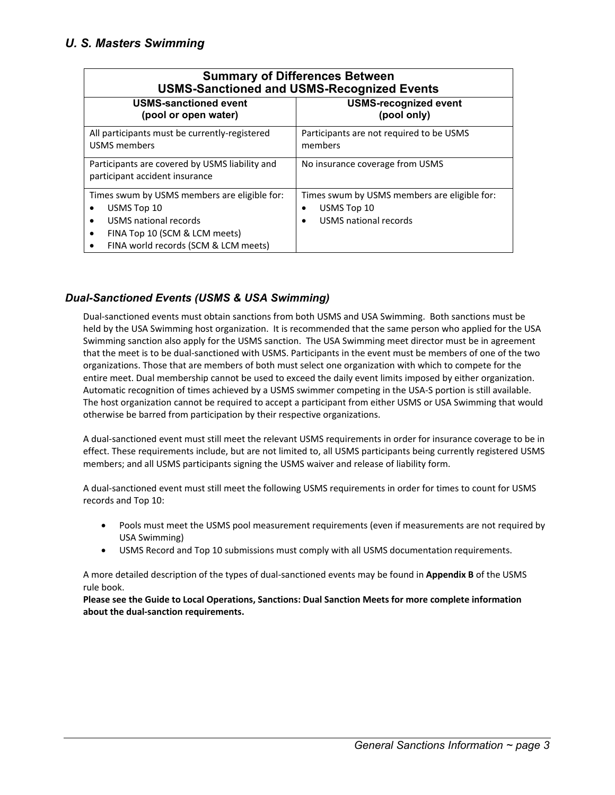| <b>Summary of Differences Between</b><br><b>USMS-Sanctioned and USMS-Recognized Events</b>                            |                                                                                      |
|-----------------------------------------------------------------------------------------------------------------------|--------------------------------------------------------------------------------------|
| <b>USMS-sanctioned event</b><br>(pool or open water)                                                                  | <b>USMS-recognized event</b><br>(pool only)                                          |
| All participants must be currently-registered<br><b>USMS</b> members                                                  | Participants are not required to be USMS<br>members                                  |
| Participants are covered by USMS liability and<br>participant accident insurance                                      | No insurance coverage from USMS                                                      |
| Times swum by USMS members are eligible for:<br>USMS Top 10<br>USMS national records<br>FINA Top 10 (SCM & LCM meets) | Times swum by USMS members are eligible for:<br>USMS Top 10<br>USMS national records |
| FINA world records (SCM & LCM meets)                                                                                  |                                                                                      |

### *Dual-Sanctioned Events (USMS & USA Swimming)*

Dual-sanctioned events must obtain sanctions from both USMS and USA Swimming. Both sanctions must be held by the USA Swimming host organization. It is recommended that the same person who applied for the USA Swimming sanction also apply for the USMS sanction. The USA Swimming meet director must be in agreement that the meet is to be dual-sanctioned with USMS. Participants in the event must be members of one of the two organizations. Those that are members of both must select one organization with which to compete for the entire meet. Dual membership cannot be used to exceed the daily event limits imposed by either organization. Automatic recognition of times achieved by a USMS swimmer competing in the USA-S portion is still available. The host organization cannot be required to accept a participant from either USMS or USA Swimming that would otherwise be barred from participation by their respective organizations.

A dual-sanctioned event must still meet the relevant USMS requirements in order for insurance coverage to be in effect. These requirements include, but are not limited to, all USMS participants being currently registered USMS members; and all USMS participants signing the USMS waiver and release of liability form.

A dual-sanctioned event must still meet the following USMS requirements in order for times to count for USMS records and Top 10:

- Pools must meet the USMS pool measurement requirements (even if measurements are not required by USA Swimming)
- USMS Record and Top 10 submissions must comply with all USMS documentation requirements.

A more detailed description of the types of dual-sanctioned events may be found in **Appendix B** of the USMS rule book.

**Please see the Guide to Local Operations, Sanctions: Dual Sanction Meets for more complete information about the dual-sanction requirements.**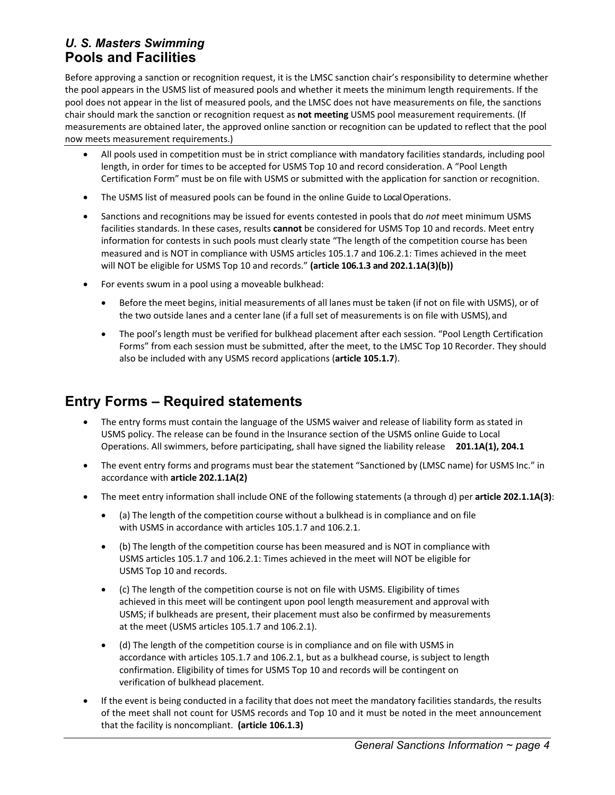### *U. S. Masters Swimming* **Pools and Facilities**

Before approving a sanction or recognition request, it is the LMSC sanction chair's responsibility to determine whether the pool appears in the USMS list of measured pools and whether it meets the minimum length requirements. If the pool does not appear in the list of measured pools, and the LMSC does not have measurements on file, the sanctions chair should mark the sanction or recognition request as **not meeting** USMS pool measurement requirements. (If measurements are obtained later, the approved online sanction or recognition can be updated to reflect that the pool now meets measurement requirements.)

- All pools used in competition must be in strict compliance with mandatory facilities standards, including pool length, in order for times to be accepted for USMS Top 10 and record consideration. A "Pool Length Certification Form" must be on file with USMS or submitted with the application for sanction or recognition.
- The USMS list of measured pools can be found in the online Guide to Local Operations.
- Sanctions and recognitions may be issued for events contested in pools that do *not* meet minimum USMS facilities standards. In these cases, results **cannot** be considered for USMS Top 10 and records. Meet entry information for contests in such pools must clearly state "The length of the competition course has been measured and is NOT in compliance with USMS articles 105.1.7 and 106.2.1: Times achieved in the meet will NOT be eligible for USMS Top 10 and records." **(article 106.1.3 and 202.1.1A(3)(b))**
- For events swum in a pool using a moveable bulkhead:
	- Before the meet begins, initial measurements of all lanes must be taken (if not on file with USMS), or of the two outside lanes and a center lane (if a full set of measurements is on file with USMS), and
	- The pool's length must be verified for bulkhead placement after each session. "Pool Length Certification Forms" from each session must be submitted, after the meet, to the LMSC Top 10 Recorder. They should also be included with any USMS record applications (**article 105.1.7**).

## **Entry Forms – Required statements**

- The entry forms must contain the language of the USMS waiver and release of liability form as stated in USMS policy. The release can be found in the Insurance section of the USMS online Guide to Local Operations. All swimmers, before participating, shall have signed the liability release **201.1A(1), 204.1**
- The event entry forms and programs must bear the statement "Sanctioned by (LMSC name) for USMS Inc." in accordance with **article 202.1.1A(2)**
- The meet entry information shall include ONE of the following statements (a through d) per **article 202.1.1A(3)**:
	- (a) The length of the competition course without a bulkhead is in compliance and on file with USMS in accordance with articles 105.1.7 and 106.2.1.
	- (b) The length of the competition course has been measured and is NOT in compliance with USMS articles 105.1.7 and 106.2.1: Times achieved in the meet will NOT be eligible for USMS Top 10 and records.
	- (c) The length of the competition course is not on file with USMS. Eligibility of times achieved in this meet will be contingent upon pool length measurement and approval with USMS; if bulkheads are present, their placement must also be confirmed by measurements at the meet (USMS articles 105.1.7 and 106.2.1).
	- (d) The length of the competition course is in compliance and on file with USMS in accordance with articles 105.1.7 and 106.2.1, but as a bulkhead course, is subject to length confirmation. Eligibility of times for USMS Top 10 and records will be contingent on verification of bulkhead placement.
- If the event is being conducted in a facility that does not meet the mandatory facilities standards, the results of the meet shall not count for USMS records and Top 10 and it must be noted in the meet announcement that the facility is noncompliant. **(article 106.1.3)**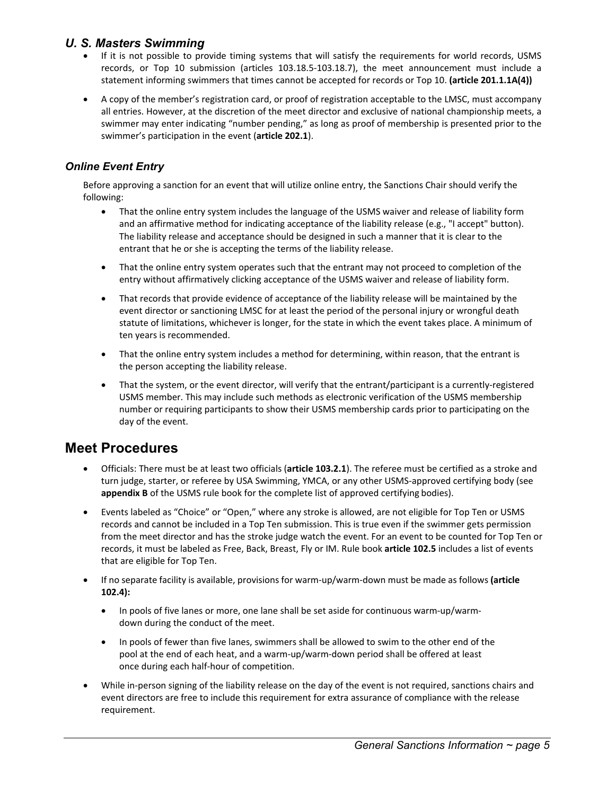- If it is not possible to provide timing systems that will satisfy the requirements for world records, USMS records, or Top 10 submission (articles 103.18.5-103.18.7), the meet announcement must include a statement informing swimmers that times cannot be accepted for records or Top 10. **(article 201.1.1A(4))**
- A copy of the member's registration card, or proof of registration acceptable to the LMSC, must accompany all entries. However, at the discretion of the meet director and exclusive of national championship meets, a swimmer may enter indicating "number pending," as long as proof of membership is presented prior to the swimmer's participation in the event (**article 202.1**).

### *Online Event Entry*

Before approving a sanction for an event that will utilize online entry, the Sanctions Chair should verify the following:

- That the online entry system includes the language of the USMS waiver and release of liability form and an affirmative method for indicating acceptance of the liability release (e.g., "I accept" button). The liability release and acceptance should be designed in such a manner that it is clear to the entrant that he or she is accepting the terms of the liability release.
- That the online entry system operates such that the entrant may not proceed to completion of the entry without affirmatively clicking acceptance of the USMS waiver and release of liability form.
- That records that provide evidence of acceptance of the liability release will be maintained by the event director or sanctioning LMSC for at least the period of the personal injury or wrongful death statute of limitations, whichever is longer, for the state in which the event takes place. A minimum of ten years is recommended.
- That the online entry system includes a method for determining, within reason, that the entrant is the person accepting the liability release.
- That the system, or the event director, will verify that the entrant/participant is a currently-registered USMS member. This may include such methods as electronic verification of the USMS membership number or requiring participants to show their USMS membership cards prior to participating on the day of the event.

## **Meet Procedures**

- Officials: There must be at least two officials (**article 103.2.1**). The referee must be certified as a stroke and turn judge, starter, or referee by USA Swimming, YMCA, or any other USMS-approved certifying body (see **appendix B** of the USMS rule book for the complete list of approved certifying bodies).
- Events labeled as "Choice" or "Open," where any stroke is allowed, are not eligible for Top Ten or USMS records and cannot be included in a Top Ten submission. This is true even if the swimmer gets permission from the meet director and has the stroke judge watch the event. For an event to be counted for Top Ten or records, it must be labeled as Free, Back, Breast, Fly or IM. Rule book **article 102.5** includes a list of events that are eligible for Top Ten.
- If no separate facility is available, provisions for warm-up/warm-down must be made as follows **(article 102.4):**
	- In pools of five lanes or more, one lane shall be set aside for continuous warm-up/warmdown during the conduct of the meet.
	- In pools of fewer than five lanes, swimmers shall be allowed to swim to the other end of the pool at the end of each heat, and a warm-up/warm-down period shall be offered at least once during each half-hour of competition.
- While in-person signing of the liability release on the day of the event is not required, sanctions chairs and event directors are free to include this requirement for extra assurance of compliance with the release requirement.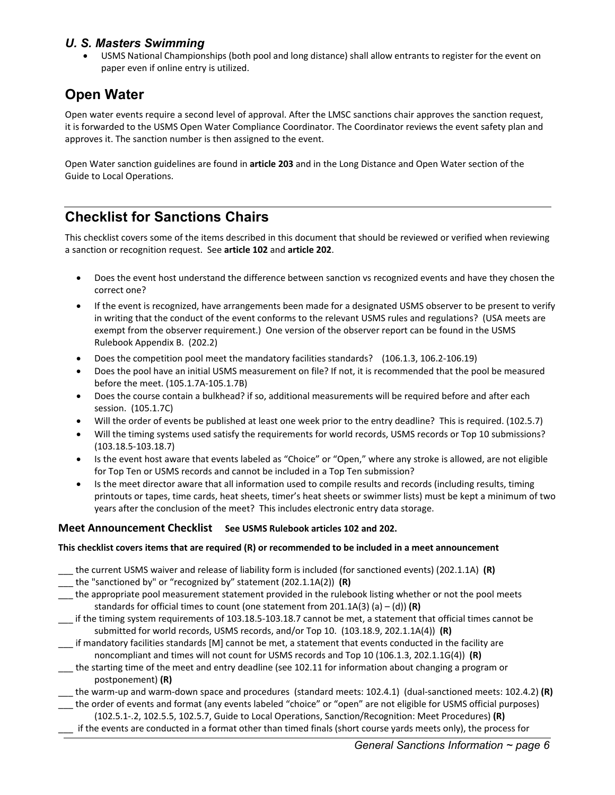• USMS National Championships (both pool and long distance) shall allow entrants to register for the event on paper even if online entry is utilized.

## **Open Water**

Open water events require a second level of approval. After the LMSC sanctions chair approves the sanction request, it is forwarded to the USMS Open Water Compliance Coordinator. The Coordinator reviews the event safety plan and approves it. The sanction number is then assigned to the event.

Open Water sanction guidelines are found in **article 203** and in th[e Long Distance and Open Water section of the](https://www.usms.org/gto/gto_longdist)  Guide to Local [Operations.](https://www.usms.org/gto/gto_longdist)

## **Checklist for Sanctions Chairs**

This checklist covers some of the items described in this document that should be reviewed or verified when reviewing a sanction or recognition request. See **article 102** and **article 202**.

- Does the event host understand the difference between sanction vs recognized events and have they chosen the correct one?
- If the event is recognized, have arrangements been made for a designated USMS observer to be present to verify in writing that the conduct of the event conforms to the relevant USMS rules and regulations? (USA meets are exempt from the observer requirement.) One version of the observer report can be found in the USMS Rulebook Appendix B. (202.2)
- Does the competition pool meet the mandatory facilities standards? (106.1.3, 106.2-106.19)
- Does the pool have an initial USMS measurement on file? If not, it is recommended that the pool be measured before the meet. (105.1.7A-105.1.7B)
- Does the course contain a bulkhead? if so, additional measurements will be required before and after each session. (105.1.7C)
- Will the order of events be published at least one week prior to the entry deadline? This is required. (102.5.7)
- Will the timing systems used satisfy the requirements for world records, USMS records or Top 10 submissions? (103.18.5-103.18.7)
- Is the event host aware that events labeled as "Choice" or "Open," where any stroke is allowed, are not eligible for Top Ten or USMS records and cannot be included in a Top Ten submission?
- Is the meet director aware that all information used to compile results and records (including results, timing printouts or tapes, time cards, heat sheets, timer's heat sheets or swimmer lists) must be kept a minimum of two years after the conclusion of the meet? This includes electronic entry data storage.

#### **Meet Announcement Checklist See USMS Rulebook articles 102 and 202.**

#### **This checklist covers items that are required (R) or recommended to be included in a meet announcement**

- \_\_\_ the current USMS waiver and release of liability form is included (for sanctioned events) (202.1.1A) **(R)**
- \_\_\_ the "sanctioned by" or "recognized by" statement (202.1.1A(2)) **(R)**
- \_\_\_ the appropriate pool measurement statement provided in the rulebook listing whether or not the pool meets standards for official times to count (one statement from 201.1A(3) (a) – (d)) **(R)**
- \_\_\_ if the timing system requirements of 103.18.5-103.18.7 cannot be met, a statement that official times cannot be submitted for world records, USMS records, and/or Top 10. (103.18.9, 202.1.1A(4)) **(R)**
- \_\_\_ if mandatory facilities standards [M] cannot be met, a statement that events conducted in the facility are noncompliant and times will not count for USMS records and Top 10 (106.1.3, 202.1.1G(4)) **(R)**
- \_\_\_ the starting time of the meet and entry deadline (see 102.11 for information about changing a program or postponement) **(R)**

\_\_\_ the warm-up and warm-down space and procedures (standard meets: 102.4.1) (dual-sanctioned meets: 102.4.2) **(R)** \_\_\_ the order of events and format (any events labeled "choice" or "open" are not eligible for USMS official purposes)

(102.5.1-.2, 102.5.5, 102.5.7, Guide to Local Operations, Sanction/Recognition: Meet Procedures) **(R)** \_\_\_ if the events are conducted in a format other than timed finals (short course yards meets only), the process for